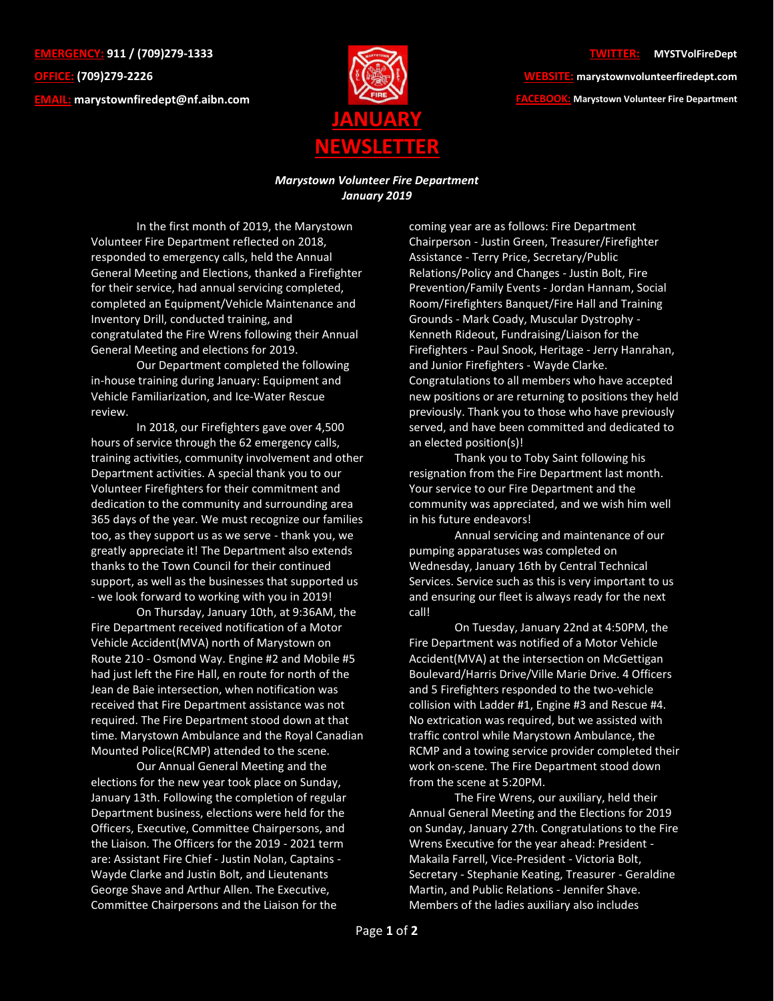**EMERGENCY: 911 / (709)279-1333 OFFICE: (709)279-2226 EMAIL: [marystownfiredept@nf.aibn.com](mailto:marystownfiredept@nf.aibn.com)**



## **TWITTER: @MYSTVolFireDept**

**WEBSITE: marystownvolunteerfiredept.com FACEBOOK: Marystown Volunteer Fire Department**

## *Marystown Volunteer Fire Department January 2019*

In the first month of 2019, the Marystown Volunteer Fire Department reflected on 2018, responded to emergency calls, held the Annual General Meeting and Elections, thanked a Firefighter for their service, had annual servicing completed, completed an Equipment/Vehicle Maintenance and Inventory Drill, conducted training, and congratulated the Fire Wrens following their Annual General Meeting and elections for 2019.

Our Department completed the following in-house training during January: Equipment and Vehicle Familiarization, and Ice-Water Rescue review.

In 2018, our Firefighters gave over 4,500 hours of service through the 62 emergency calls, training activities, community involvement and other Department activities. A special thank you to our Volunteer Firefighters for their commitment and dedication to the community and surrounding area 365 days of the year. We must recognize our families too, as they support us as we serve - thank you, we greatly appreciate it! The Department also extends thanks to the Town Council for their continued support, as well as the businesses that supported us - we look forward to working with you in 2019!

On Thursday, January 10th, at 9:36AM, the Fire Department received notification of a Motor Vehicle Accident(MVA) north of Marystown on Route 210 - Osmond Way. Engine #2 and Mobile #5 had just left the Fire Hall, en route for north of the Jean de Baie intersection, when notification was received that Fire Department assistance was not required. The Fire Department stood down at that time. Marystown Ambulance and the Royal Canadian Mounted Police(RCMP) attended to the scene.

Our Annual General Meeting and the elections for the new year took place on Sunday, January 13th. Following the completion of regular Department business, elections were held for the Officers, Executive, Committee Chairpersons, and the Liaison. The Officers for the 2019 - 2021 term are: Assistant Fire Chief - Justin Nolan, Captains - Wayde Clarke and Justin Bolt, and Lieutenants George Shave and Arthur Allen. The Executive, Committee Chairpersons and the Liaison for the

coming year are as follows: Fire Department Chairperson - Justin Green, Treasurer/Firefighter Assistance - Terry Price, Secretary/Public Relations/Policy and Changes - Justin Bolt, Fire Prevention/Family Events - Jordan Hannam, Social Room/Firefighters Banquet/Fire Hall and Training Grounds - Mark Coady, Muscular Dystrophy - Kenneth Rideout, Fundraising/Liaison for the Firefighters - Paul Snook, Heritage - Jerry Hanrahan, and Junior Firefighters - Wayde Clarke. Congratulations to all members who have accepted new positions or are returning to positions they held previously. Thank you to those who have previously served, and have been committed and dedicated to an elected position(s)!

Thank you to Toby Saint following his resignation from the Fire Department last month. Your service to our Fire Department and the community was appreciated, and we wish him well in his future endeavors!

Annual servicing and maintenance of our pumping apparatuses was completed on Wednesday, January 16th by Central Technical Services. Service such as this is very important to us and ensuring our fleet is always ready for the next call!

On Tuesday, January 22nd at 4:50PM, the Fire Department was notified of a Motor Vehicle Accident(MVA) at the intersection on McGettigan Boulevard/Harris Drive/Ville Marie Drive. 4 Officers and 5 Firefighters responded to the two-vehicle collision with Ladder #1, Engine #3 and Rescue #4. No extrication was required, but we assisted with traffic control while Marystown Ambulance, the RCMP and a towing service provider completed their work on-scene. The Fire Department stood down from the scene at 5:20PM.

The Fire Wrens, our auxiliary, held their Annual General Meeting and the Elections for 2019 on Sunday, January 27th. Congratulations to the Fire Wrens Executive for the year ahead: President - Makaila Farrell, Vice-President - Victoria Bolt, Secretary - Stephanie Keating, Treasurer - Geraldine Martin, and Public Relations - Jennifer Shave. Members of the ladies auxiliary also includes